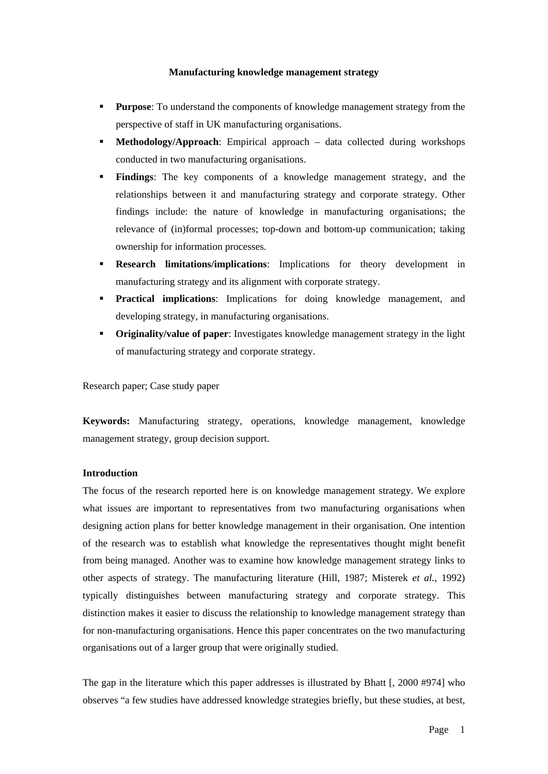## **Manufacturing knowledge management strategy**

- **Purpose**: To understand the components of knowledge management strategy from the perspective of staff in UK manufacturing organisations.
- **Methodology/Approach**: Empirical approach data collected during workshops conducted in two manufacturing organisations.
- **Findings**: The key components of a knowledge management strategy, and the relationships between it and manufacturing strategy and corporate strategy. Other findings include: the nature of knowledge in manufacturing organisations; the relevance of (in)formal processes; top-down and bottom-up communication; taking ownership for information processes.
- **Research limitations/implications**: Implications for theory development in manufacturing strategy and its alignment with corporate strategy.
- **Practical implications**: Implications for doing knowledge management, and developing strategy, in manufacturing organisations.
- **Originality/value of paper**: Investigates knowledge management strategy in the light of manufacturing strategy and corporate strategy.

Research paper; Case study paper

**Keywords:** Manufacturing strategy, operations, knowledge management, knowledge management strategy, group decision support.

## **Introduction**

The focus of the research reported here is on knowledge management strategy. We explore what issues are important to representatives from two manufacturing organisations when designing action plans for better knowledge management in their organisation. One intention of the research was to establish what knowledge the representatives thought might benefit from being managed. Another was to examine how knowledge management strategy links to other aspects of strategy. The manufacturing literature (Hill, 1987; Misterek *et al.*, 1992) typically distinguishes between manufacturing strategy and corporate strategy. This distinction makes it easier to discuss the relationship to knowledge management strategy than for non-manufacturing organisations. Hence this paper concentrates on the two manufacturing organisations out of a larger group that were originally studied.

The gap in the literature which this paper addresses is illustrated by Bhatt [, 2000 #974] who observes "a few studies have addressed knowledge strategies briefly, but these studies, at best,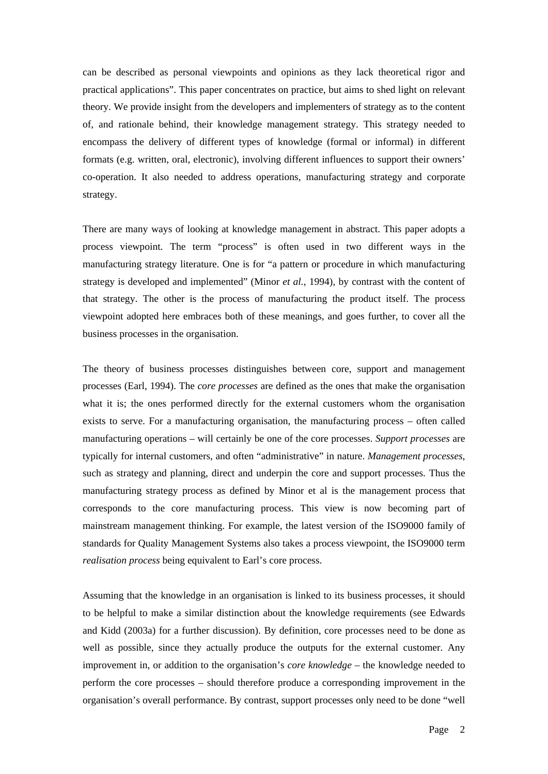can be described as personal viewpoints and opinions as they lack theoretical rigor and practical applications". This paper concentrates on practice, but aims to shed light on relevant theory. We provide insight from the developers and implementers of strategy as to the content of, and rationale behind, their knowledge management strategy. This strategy needed to encompass the delivery of different types of knowledge (formal or informal) in different formats (e.g. written, oral, electronic), involving different influences to support their owners' co-operation. It also needed to address operations, manufacturing strategy and corporate strategy.

There are many ways of looking at knowledge management in abstract. This paper adopts a process viewpoint. The term "process" is often used in two different ways in the manufacturing strategy literature. One is for "a pattern or procedure in which manufacturing strategy is developed and implemented" (Minor *et al.*, 1994), by contrast with the content of that strategy. The other is the process of manufacturing the product itself. The process viewpoint adopted here embraces both of these meanings, and goes further, to cover all the business processes in the organisation.

The theory of business processes distinguishes between core, support and management processes (Earl, 1994). The *core processes* are defined as the ones that make the organisation what it is; the ones performed directly for the external customers whom the organisation exists to serve. For a manufacturing organisation, the manufacturing process – often called manufacturing operations – will certainly be one of the core processes. *Support processes* are typically for internal customers, and often "administrative" in nature. *Management processes*, such as strategy and planning, direct and underpin the core and support processes. Thus the manufacturing strategy process as defined by Minor et al is the management process that corresponds to the core manufacturing process. This view is now becoming part of mainstream management thinking. For example, the latest version of the ISO9000 family of standards for Quality Management Systems also takes a process viewpoint, the ISO9000 term *realisation process* being equivalent to Earl's core process.

Assuming that the knowledge in an organisation is linked to its business processes, it should to be helpful to make a similar distinction about the knowledge requirements (see Edwards and Kidd (2003a) for a further discussion). By definition, core processes need to be done as well as possible, since they actually produce the outputs for the external customer. Any improvement in, or addition to the organisation's *core knowledge* – the knowledge needed to perform the core processes – should therefore produce a corresponding improvement in the organisation's overall performance. By contrast, support processes only need to be done "well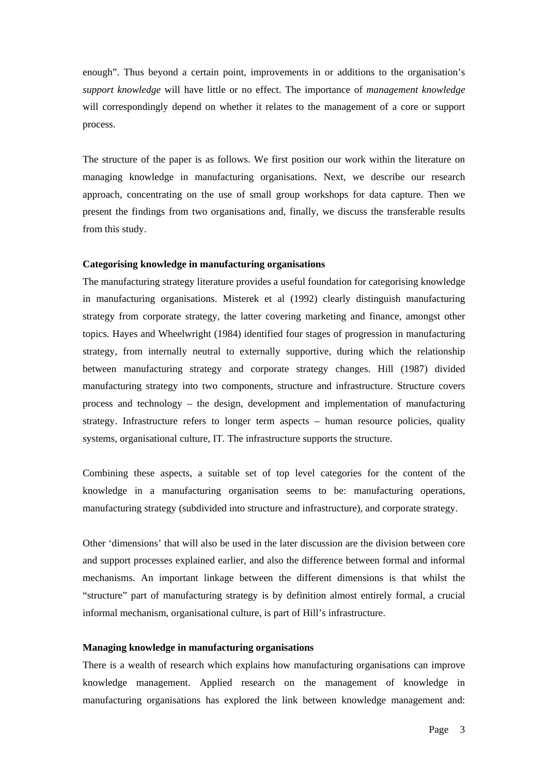enough". Thus beyond a certain point, improvements in or additions to the organisation's *support knowledge* will have little or no effect. The importance of *management knowledge*  will correspondingly depend on whether it relates to the management of a core or support process.

The structure of the paper is as follows. We first position our work within the literature on managing knowledge in manufacturing organisations. Next, we describe our research approach, concentrating on the use of small group workshops for data capture. Then we present the findings from two organisations and, finally, we discuss the transferable results from this study.

#### **Categorising knowledge in manufacturing organisations**

The manufacturing strategy literature provides a useful foundation for categorising knowledge in manufacturing organisations. Misterek et al (1992) clearly distinguish manufacturing strategy from corporate strategy, the latter covering marketing and finance, amongst other topics. Hayes and Wheelwright (1984) identified four stages of progression in manufacturing strategy, from internally neutral to externally supportive, during which the relationship between manufacturing strategy and corporate strategy changes. Hill (1987) divided manufacturing strategy into two components, structure and infrastructure. Structure covers process and technology – the design, development and implementation of manufacturing strategy. Infrastructure refers to longer term aspects – human resource policies, quality systems, organisational culture, IT. The infrastructure supports the structure.

Combining these aspects, a suitable set of top level categories for the content of the knowledge in a manufacturing organisation seems to be: manufacturing operations, manufacturing strategy (subdivided into structure and infrastructure), and corporate strategy.

Other 'dimensions' that will also be used in the later discussion are the division between core and support processes explained earlier, and also the difference between formal and informal mechanisms. An important linkage between the different dimensions is that whilst the "structure" part of manufacturing strategy is by definition almost entirely formal, a crucial informal mechanism, organisational culture, is part of Hill's infrastructure.

# **Managing knowledge in manufacturing organisations**

There is a wealth of research which explains how manufacturing organisations can improve knowledge management. Applied research on the management of knowledge in manufacturing organisations has explored the link between knowledge management and: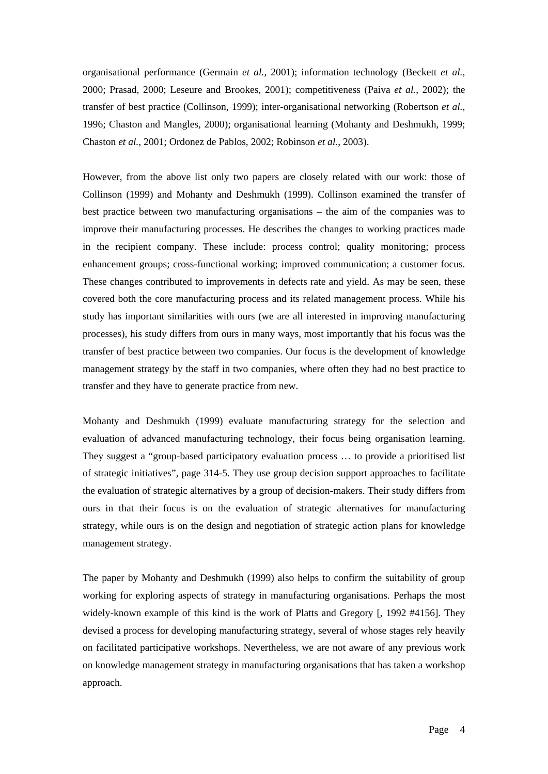organisational performance (Germain *et al.*, 2001); information technology (Beckett *et al.*, 2000; Prasad, 2000; Leseure and Brookes, 2001); competitiveness (Paiva *et al.*, 2002); the transfer of best practice (Collinson, 1999); inter-organisational networking (Robertson *et al.*, 1996; Chaston and Mangles, 2000); organisational learning (Mohanty and Deshmukh, 1999; Chaston *et al.*, 2001; Ordonez de Pablos, 2002; Robinson *et al.*, 2003).

However, from the above list only two papers are closely related with our work: those of Collinson (1999) and Mohanty and Deshmukh (1999). Collinson examined the transfer of best practice between two manufacturing organisations – the aim of the companies was to improve their manufacturing processes. He describes the changes to working practices made in the recipient company. These include: process control; quality monitoring; process enhancement groups; cross-functional working; improved communication; a customer focus. These changes contributed to improvements in defects rate and yield. As may be seen, these covered both the core manufacturing process and its related management process. While his study has important similarities with ours (we are all interested in improving manufacturing processes), his study differs from ours in many ways, most importantly that his focus was the transfer of best practice between two companies. Our focus is the development of knowledge management strategy by the staff in two companies, where often they had no best practice to transfer and they have to generate practice from new.

Mohanty and Deshmukh (1999) evaluate manufacturing strategy for the selection and evaluation of advanced manufacturing technology, their focus being organisation learning. They suggest a "group-based participatory evaluation process … to provide a prioritised list of strategic initiatives", page 314-5. They use group decision support approaches to facilitate the evaluation of strategic alternatives by a group of decision-makers. Their study differs from ours in that their focus is on the evaluation of strategic alternatives for manufacturing strategy, while ours is on the design and negotiation of strategic action plans for knowledge management strategy.

The paper by Mohanty and Deshmukh (1999) also helps to confirm the suitability of group working for exploring aspects of strategy in manufacturing organisations. Perhaps the most widely-known example of this kind is the work of Platts and Gregory [, 1992 #4156]. They devised a process for developing manufacturing strategy, several of whose stages rely heavily on facilitated participative workshops. Nevertheless, we are not aware of any previous work on knowledge management strategy in manufacturing organisations that has taken a workshop approach.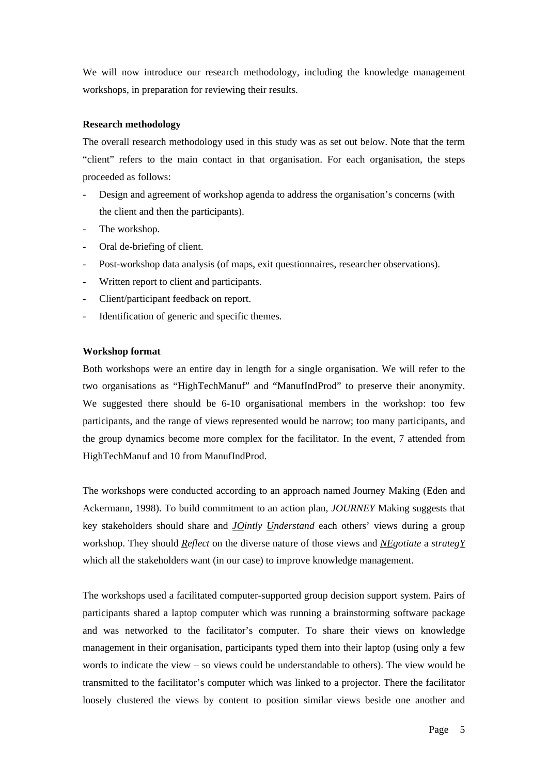We will now introduce our research methodology, including the knowledge management workshops, in preparation for reviewing their results.

## **Research methodology**

The overall research methodology used in this study was as set out below. Note that the term "client" refers to the main contact in that organisation. For each organisation, the steps proceeded as follows:

- Design and agreement of workshop agenda to address the organisation's concerns (with the client and then the participants).
- The workshop.
- Oral de-briefing of client.
- Post-workshop data analysis (of maps, exit questionnaires, researcher observations).
- Written report to client and participants.
- Client/participant feedback on report.
- Identification of generic and specific themes.

#### **Workshop format**

Both workshops were an entire day in length for a single organisation. We will refer to the two organisations as "HighTechManuf" and "ManufIndProd" to preserve their anonymity. We suggested there should be 6-10 organisational members in the workshop: too few participants, and the range of views represented would be narrow; too many participants, and the group dynamics become more complex for the facilitator. In the event, 7 attended from HighTechManuf and 10 from ManufIndProd.

The workshops were conducted according to an approach named Journey Making (Eden and Ackermann, 1998). To build commitment to an action plan, *JOURNEY* Making suggests that key stakeholders should share and *JOintly Understand* each others' views during a group workshop. They should *Reflect* on the diverse nature of those views and *NEgotiate* a *strategY* which all the stakeholders want (in our case) to improve knowledge management.

The workshops used a facilitated computer-supported group decision support system. Pairs of participants shared a laptop computer which was running a brainstorming software package and was networked to the facilitator's computer. To share their views on knowledge management in their organisation, participants typed them into their laptop (using only a few words to indicate the view – so views could be understandable to others). The view would be transmitted to the facilitator's computer which was linked to a projector. There the facilitator loosely clustered the views by content to position similar views beside one another and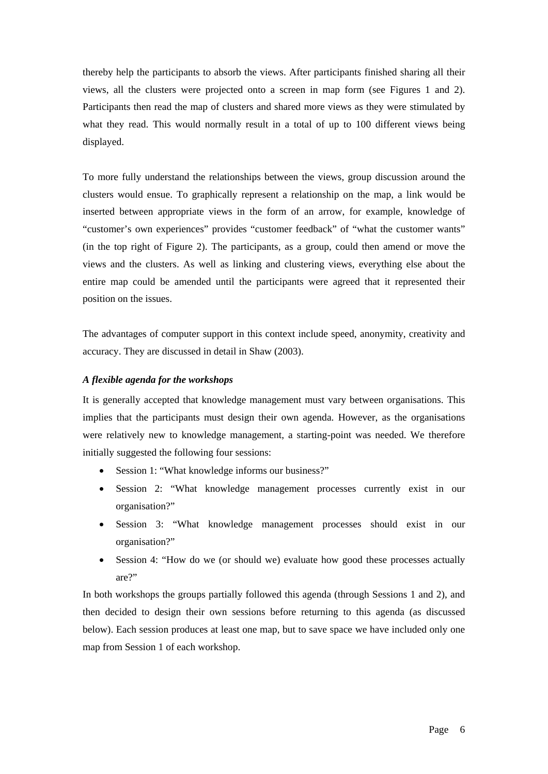thereby help the participants to absorb the views. After participants finished sharing all their views, all the clusters were projected onto a screen in map form (see Figures 1 and 2). Participants then read the map of clusters and shared more views as they were stimulated by what they read. This would normally result in a total of up to 100 different views being displayed.

To more fully understand the relationships between the views, group discussion around the clusters would ensue. To graphically represent a relationship on the map, a link would be inserted between appropriate views in the form of an arrow, for example, knowledge of "customer's own experiences" provides "customer feedback" of "what the customer wants" (in the top right of Figure 2). The participants, as a group, could then amend or move the views and the clusters. As well as linking and clustering views, everything else about the entire map could be amended until the participants were agreed that it represented their position on the issues.

The advantages of computer support in this context include speed, anonymity, creativity and accuracy. They are discussed in detail in Shaw (2003).

# *A flexible agenda for the workshops*

It is generally accepted that knowledge management must vary between organisations. This implies that the participants must design their own agenda. However, as the organisations were relatively new to knowledge management, a starting-point was needed. We therefore initially suggested the following four sessions:

- Session 1: "What knowledge informs our business?"
- Session 2: "What knowledge management processes currently exist in our organisation?"
- Session 3: "What knowledge management processes should exist in our organisation?"
- Session 4: "How do we (or should we) evaluate how good these processes actually are?"

In both workshops the groups partially followed this agenda (through Sessions 1 and 2), and then decided to design their own sessions before returning to this agenda (as discussed below). Each session produces at least one map, but to save space we have included only one map from Session 1 of each workshop.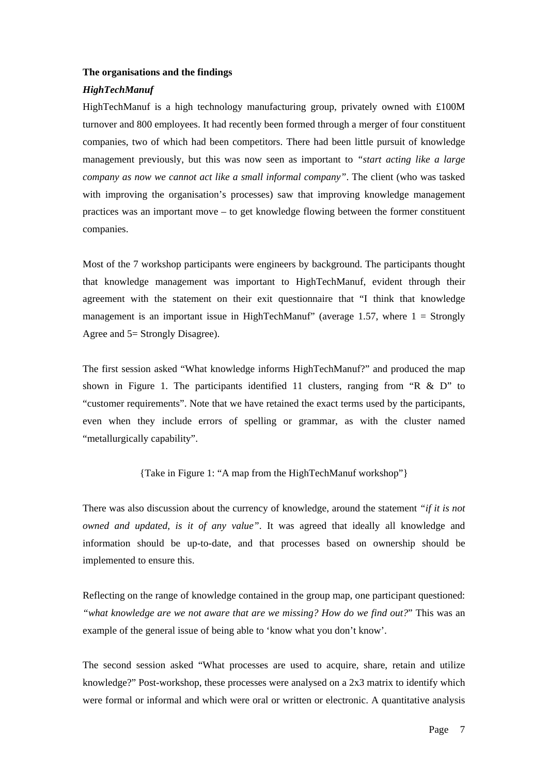#### **The organisations and the findings**

## *HighTechManuf*

HighTechManuf is a high technology manufacturing group, privately owned with £100M turnover and 800 employees. It had recently been formed through a merger of four constituent companies, two of which had been competitors. There had been little pursuit of knowledge management previously, but this was now seen as important to *"start acting like a large company as now we cannot act like a small informal company"*. The client (who was tasked with improving the organisation's processes) saw that improving knowledge management practices was an important move – to get knowledge flowing between the former constituent companies.

Most of the 7 workshop participants were engineers by background. The participants thought that knowledge management was important to HighTechManuf, evident through their agreement with the statement on their exit questionnaire that "I think that knowledge management is an important issue in HighTechManuf'' (average 1.57, where  $1 =$  Strongly Agree and 5= Strongly Disagree).

The first session asked "What knowledge informs HighTechManuf?" and produced the map shown in Figure 1. The participants identified 11 clusters, ranging from "R  $\&$  D" to "customer requirements". Note that we have retained the exact terms used by the participants, even when they include errors of spelling or grammar, as with the cluster named "metallurgically capability".

#### {Take in Figure 1: "A map from the HighTechManuf workshop"}

There was also discussion about the currency of knowledge, around the statement *"if it is not owned and updated, is it of any value"*. It was agreed that ideally all knowledge and information should be up-to-date, and that processes based on ownership should be implemented to ensure this.

Reflecting on the range of knowledge contained in the group map, one participant questioned: *"what knowledge are we not aware that are we missing? How do we find out?*" This was an example of the general issue of being able to 'know what you don't know'.

The second session asked "What processes are used to acquire, share, retain and utilize knowledge?" Post-workshop, these processes were analysed on a 2x3 matrix to identify which were formal or informal and which were oral or written or electronic. A quantitative analysis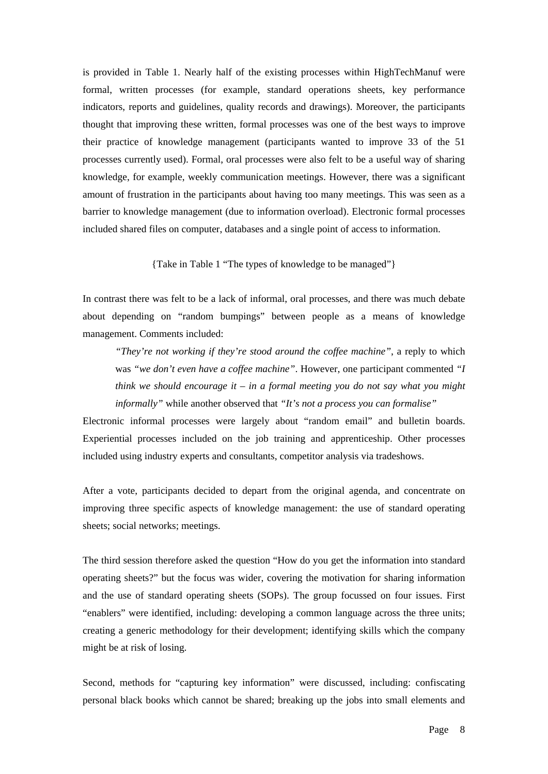is provided in Table 1. Nearly half of the existing processes within HighTechManuf were formal, written processes (for example, standard operations sheets, key performance indicators, reports and guidelines, quality records and drawings). Moreover, the participants thought that improving these written, formal processes was one of the best ways to improve their practice of knowledge management (participants wanted to improve 33 of the 51 processes currently used). Formal, oral processes were also felt to be a useful way of sharing knowledge, for example, weekly communication meetings. However, there was a significant amount of frustration in the participants about having too many meetings. This was seen as a barrier to knowledge management (due to information overload). Electronic formal processes included shared files on computer, databases and a single point of access to information.

{Take in Table 1 "The types of knowledge to be managed"}

In contrast there was felt to be a lack of informal, oral processes, and there was much debate about depending on "random bumpings" between people as a means of knowledge management. Comments included:

*"They're not working if they're stood around the coffee machine"*, a reply to which was *"we don't even have a coffee machine"*. However, one participant commented *"I think we should encourage it – in a formal meeting you do not say what you might informally"* while another observed that *"It's not a process you can formalise"*

Electronic informal processes were largely about "random email" and bulletin boards. Experiential processes included on the job training and apprenticeship. Other processes included using industry experts and consultants, competitor analysis via tradeshows.

After a vote, participants decided to depart from the original agenda, and concentrate on improving three specific aspects of knowledge management: the use of standard operating sheets; social networks; meetings.

The third session therefore asked the question "How do you get the information into standard operating sheets?" but the focus was wider, covering the motivation for sharing information and the use of standard operating sheets (SOPs). The group focussed on four issues. First "enablers" were identified, including: developing a common language across the three units; creating a generic methodology for their development; identifying skills which the company might be at risk of losing.

Second, methods for "capturing key information" were discussed, including: confiscating personal black books which cannot be shared; breaking up the jobs into small elements and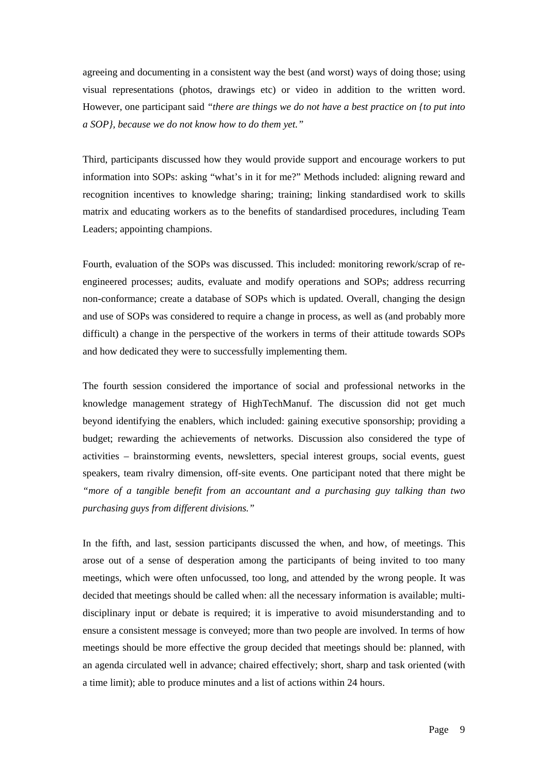agreeing and documenting in a consistent way the best (and worst) ways of doing those; using visual representations (photos, drawings etc) or video in addition to the written word. However, one participant said *"there are things we do not have a best practice on {to put into a SOP}, because we do not know how to do them yet."*

Third, participants discussed how they would provide support and encourage workers to put information into SOPs: asking "what's in it for me?" Methods included: aligning reward and recognition incentives to knowledge sharing; training; linking standardised work to skills matrix and educating workers as to the benefits of standardised procedures, including Team Leaders; appointing champions.

Fourth, evaluation of the SOPs was discussed. This included: monitoring rework/scrap of reengineered processes; audits, evaluate and modify operations and SOPs; address recurring non-conformance; create a database of SOPs which is updated. Overall, changing the design and use of SOPs was considered to require a change in process, as well as (and probably more difficult) a change in the perspective of the workers in terms of their attitude towards SOPs and how dedicated they were to successfully implementing them.

The fourth session considered the importance of social and professional networks in the knowledge management strategy of HighTechManuf. The discussion did not get much beyond identifying the enablers, which included: gaining executive sponsorship; providing a budget; rewarding the achievements of networks. Discussion also considered the type of activities – brainstorming events, newsletters, special interest groups, social events, guest speakers, team rivalry dimension, off-site events. One participant noted that there might be *"more of a tangible benefit from an accountant and a purchasing guy talking than two purchasing guys from different divisions."*

In the fifth, and last, session participants discussed the when, and how, of meetings. This arose out of a sense of desperation among the participants of being invited to too many meetings, which were often unfocussed, too long, and attended by the wrong people. It was decided that meetings should be called when: all the necessary information is available; multidisciplinary input or debate is required; it is imperative to avoid misunderstanding and to ensure a consistent message is conveyed; more than two people are involved. In terms of how meetings should be more effective the group decided that meetings should be: planned, with an agenda circulated well in advance; chaired effectively; short, sharp and task oriented (with a time limit); able to produce minutes and a list of actions within 24 hours.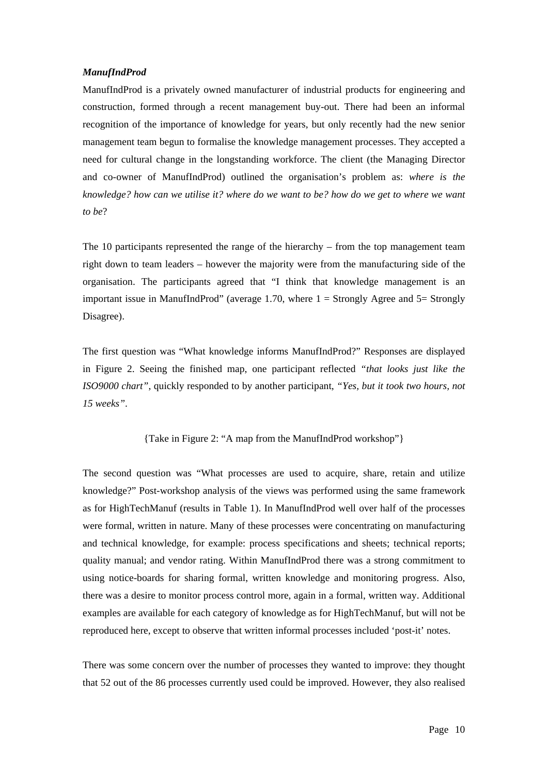## *ManufIndProd*

ManufIndProd is a privately owned manufacturer of industrial products for engineering and construction, formed through a recent management buy-out. There had been an informal recognition of the importance of knowledge for years, but only recently had the new senior management team begun to formalise the knowledge management processes. They accepted a need for cultural change in the longstanding workforce. The client (the Managing Director and co-owner of ManufIndProd) outlined the organisation's problem as: *where is the knowledge? how can we utilise it? where do we want to be? how do we get to where we want to be*?

The 10 participants represented the range of the hierarchy – from the top management team right down to team leaders – however the majority were from the manufacturing side of the organisation. The participants agreed that "I think that knowledge management is an important issue in ManufIndProd" (average 1.70, where  $1 =$  Strongly Agree and  $5 =$  Strongly Disagree).

The first question was "What knowledge informs ManufIndProd?" Responses are displayed in Figure 2. Seeing the finished map, one participant reflected *"that looks just like the ISO9000 chart"*, quickly responded to by another participant, *"Yes, but it took two hours, not 15 weeks"*.

## {Take in Figure 2: "A map from the ManufIndProd workshop"}

The second question was "What processes are used to acquire, share, retain and utilize knowledge?" Post-workshop analysis of the views was performed using the same framework as for HighTechManuf (results in Table 1). In ManufIndProd well over half of the processes were formal, written in nature. Many of these processes were concentrating on manufacturing and technical knowledge, for example: process specifications and sheets; technical reports; quality manual; and vendor rating. Within ManufIndProd there was a strong commitment to using notice-boards for sharing formal, written knowledge and monitoring progress. Also, there was a desire to monitor process control more, again in a formal, written way. Additional examples are available for each category of knowledge as for HighTechManuf, but will not be reproduced here, except to observe that written informal processes included 'post-it' notes.

There was some concern over the number of processes they wanted to improve: they thought that 52 out of the 86 processes currently used could be improved. However, they also realised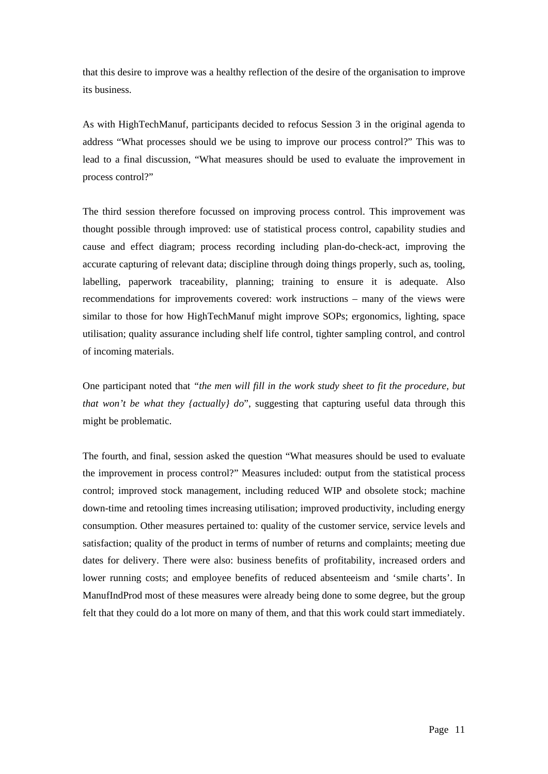that this desire to improve was a healthy reflection of the desire of the organisation to improve its business.

As with HighTechManuf, participants decided to refocus Session 3 in the original agenda to address "What processes should we be using to improve our process control?" This was to lead to a final discussion, "What measures should be used to evaluate the improvement in process control?"

The third session therefore focussed on improving process control. This improvement was thought possible through improved: use of statistical process control, capability studies and cause and effect diagram; process recording including plan-do-check-act, improving the accurate capturing of relevant data; discipline through doing things properly, such as, tooling, labelling, paperwork traceability, planning; training to ensure it is adequate. Also recommendations for improvements covered: work instructions – many of the views were similar to those for how HighTechManuf might improve SOPs; ergonomics, lighting, space utilisation; quality assurance including shelf life control, tighter sampling control, and control of incoming materials.

One participant noted that *"the men will fill in the work study sheet to fit the procedure, but that won't be what they {actually} do*", suggesting that capturing useful data through this might be problematic.

The fourth, and final, session asked the question "What measures should be used to evaluate the improvement in process control?" Measures included: output from the statistical process control; improved stock management, including reduced WIP and obsolete stock; machine down-time and retooling times increasing utilisation; improved productivity, including energy consumption. Other measures pertained to: quality of the customer service, service levels and satisfaction; quality of the product in terms of number of returns and complaints; meeting due dates for delivery. There were also: business benefits of profitability, increased orders and lower running costs; and employee benefits of reduced absenteeism and 'smile charts'. In ManufIndProd most of these measures were already being done to some degree, but the group felt that they could do a lot more on many of them, and that this work could start immediately.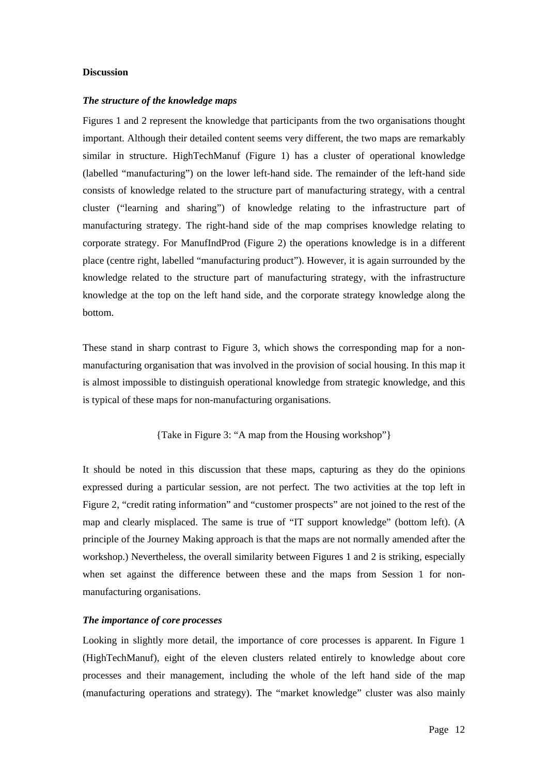#### **Discussion**

#### *The structure of the knowledge maps*

Figures 1 and 2 represent the knowledge that participants from the two organisations thought important. Although their detailed content seems very different, the two maps are remarkably similar in structure. HighTechManuf (Figure 1) has a cluster of operational knowledge (labelled "manufacturing") on the lower left-hand side. The remainder of the left-hand side consists of knowledge related to the structure part of manufacturing strategy, with a central cluster ("learning and sharing") of knowledge relating to the infrastructure part of manufacturing strategy. The right-hand side of the map comprises knowledge relating to corporate strategy. For ManufIndProd (Figure 2) the operations knowledge is in a different place (centre right, labelled "manufacturing product"). However, it is again surrounded by the knowledge related to the structure part of manufacturing strategy, with the infrastructure knowledge at the top on the left hand side, and the corporate strategy knowledge along the bottom.

These stand in sharp contrast to Figure 3, which shows the corresponding map for a nonmanufacturing organisation that was involved in the provision of social housing. In this map it is almost impossible to distinguish operational knowledge from strategic knowledge, and this is typical of these maps for non-manufacturing organisations.

#### {Take in Figure 3: "A map from the Housing workshop"}

It should be noted in this discussion that these maps, capturing as they do the opinions expressed during a particular session, are not perfect. The two activities at the top left in Figure 2, "credit rating information" and "customer prospects" are not joined to the rest of the map and clearly misplaced. The same is true of "IT support knowledge" (bottom left). (A principle of the Journey Making approach is that the maps are not normally amended after the workshop.) Nevertheless, the overall similarity between Figures 1 and 2 is striking, especially when set against the difference between these and the maps from Session 1 for nonmanufacturing organisations.

## *The importance of core processes*

Looking in slightly more detail, the importance of core processes is apparent. In Figure 1 (HighTechManuf), eight of the eleven clusters related entirely to knowledge about core processes and their management, including the whole of the left hand side of the map (manufacturing operations and strategy). The "market knowledge" cluster was also mainly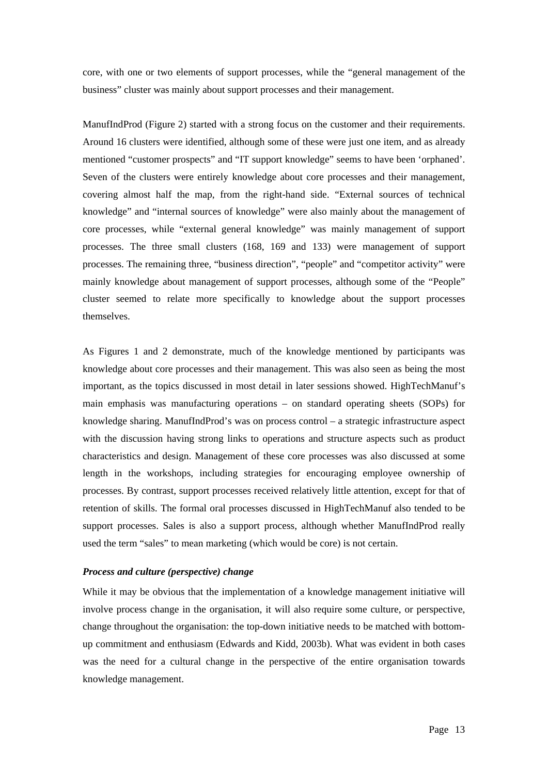core, with one or two elements of support processes, while the "general management of the business" cluster was mainly about support processes and their management.

ManufIndProd (Figure 2) started with a strong focus on the customer and their requirements. Around 16 clusters were identified, although some of these were just one item, and as already mentioned "customer prospects" and "IT support knowledge" seems to have been 'orphaned'. Seven of the clusters were entirely knowledge about core processes and their management, covering almost half the map, from the right-hand side. "External sources of technical knowledge" and "internal sources of knowledge" were also mainly about the management of core processes, while "external general knowledge" was mainly management of support processes. The three small clusters (168, 169 and 133) were management of support processes. The remaining three, "business direction", "people" and "competitor activity" were mainly knowledge about management of support processes, although some of the "People" cluster seemed to relate more specifically to knowledge about the support processes themselves.

As Figures 1 and 2 demonstrate, much of the knowledge mentioned by participants was knowledge about core processes and their management. This was also seen as being the most important, as the topics discussed in most detail in later sessions showed. HighTechManuf's main emphasis was manufacturing operations – on standard operating sheets (SOPs) for knowledge sharing. ManufIndProd's was on process control – a strategic infrastructure aspect with the discussion having strong links to operations and structure aspects such as product characteristics and design. Management of these core processes was also discussed at some length in the workshops, including strategies for encouraging employee ownership of processes. By contrast, support processes received relatively little attention, except for that of retention of skills. The formal oral processes discussed in HighTechManuf also tended to be support processes. Sales is also a support process, although whether ManufIndProd really used the term "sales" to mean marketing (which would be core) is not certain.

#### *Process and culture (perspective) change*

While it may be obvious that the implementation of a knowledge management initiative will involve process change in the organisation, it will also require some culture, or perspective, change throughout the organisation: the top-down initiative needs to be matched with bottomup commitment and enthusiasm (Edwards and Kidd, 2003b). What was evident in both cases was the need for a cultural change in the perspective of the entire organisation towards knowledge management.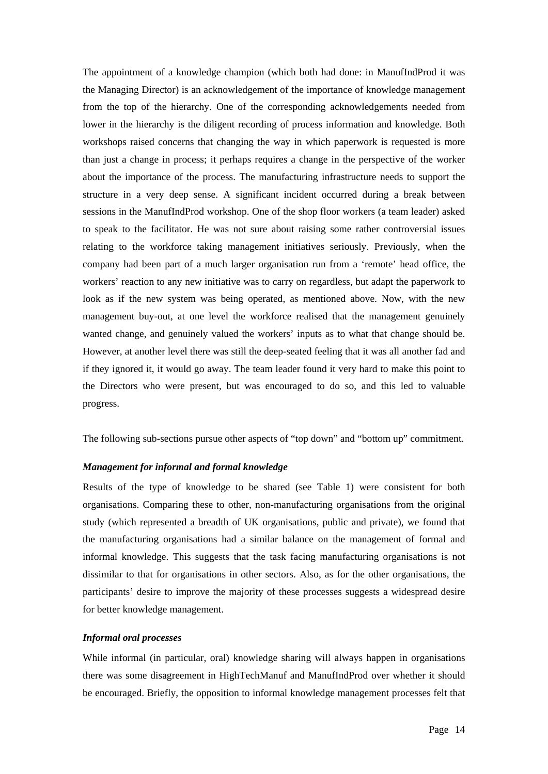The appointment of a knowledge champion (which both had done: in ManufIndProd it was the Managing Director) is an acknowledgement of the importance of knowledge management from the top of the hierarchy. One of the corresponding acknowledgements needed from lower in the hierarchy is the diligent recording of process information and knowledge. Both workshops raised concerns that changing the way in which paperwork is requested is more than just a change in process; it perhaps requires a change in the perspective of the worker about the importance of the process. The manufacturing infrastructure needs to support the structure in a very deep sense. A significant incident occurred during a break between sessions in the ManufIndProd workshop. One of the shop floor workers (a team leader) asked to speak to the facilitator. He was not sure about raising some rather controversial issues relating to the workforce taking management initiatives seriously. Previously, when the company had been part of a much larger organisation run from a 'remote' head office, the workers' reaction to any new initiative was to carry on regardless, but adapt the paperwork to look as if the new system was being operated, as mentioned above. Now, with the new management buy-out, at one level the workforce realised that the management genuinely wanted change, and genuinely valued the workers' inputs as to what that change should be. However, at another level there was still the deep-seated feeling that it was all another fad and if they ignored it, it would go away. The team leader found it very hard to make this point to the Directors who were present, but was encouraged to do so, and this led to valuable progress.

The following sub-sections pursue other aspects of "top down" and "bottom up" commitment.

## *Management for informal and formal knowledge*

Results of the type of knowledge to be shared (see Table 1) were consistent for both organisations. Comparing these to other, non-manufacturing organisations from the original study (which represented a breadth of UK organisations, public and private), we found that the manufacturing organisations had a similar balance on the management of formal and informal knowledge. This suggests that the task facing manufacturing organisations is not dissimilar to that for organisations in other sectors. Also, as for the other organisations, the participants' desire to improve the majority of these processes suggests a widespread desire for better knowledge management.

#### *Informal oral processes*

While informal (in particular, oral) knowledge sharing will always happen in organisations there was some disagreement in HighTechManuf and ManufIndProd over whether it should be encouraged. Briefly, the opposition to informal knowledge management processes felt that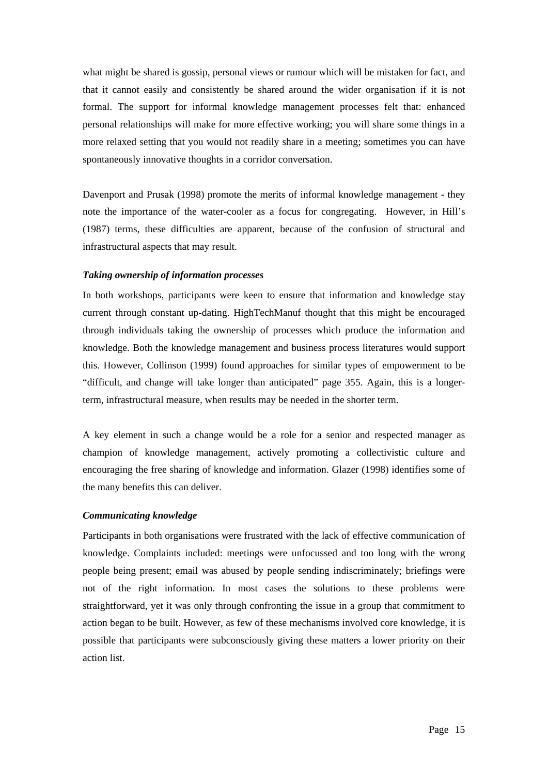what might be shared is gossip, personal views or rumour which will be mistaken for fact, and that it cannot easily and consistently be shared around the wider organisation if it is not formal. The support for informal knowledge management processes felt that: enhanced personal relationships will make for more effective working; you will share some things in a more relaxed setting that you would not readily share in a meeting; sometimes you can have spontaneously innovative thoughts in a corridor conversation.

Davenport and Prusak (1998) promote the merits of informal knowledge management - they note the importance of the water-cooler as a focus for congregating. However, in Hill's (1987) terms, these difficulties are apparent, because of the confusion of structural and infrastructural aspects that may result.

## *Taking ownership of information processes*

In both workshops, participants were keen to ensure that information and knowledge stay current through constant up-dating. HighTechManuf thought that this might be encouraged through individuals taking the ownership of processes which produce the information and knowledge. Both the knowledge management and business process literatures would support this. However, Collinson (1999) found approaches for similar types of empowerment to be "difficult, and change will take longer than anticipated" page 355. Again, this is a longerterm, infrastructural measure, when results may be needed in the shorter term.

A key element in such a change would be a role for a senior and respected manager as champion of knowledge management, actively promoting a collectivistic culture and encouraging the free sharing of knowledge and information. Glazer (1998) identifies some of the many benefits this can deliver.

#### *Communicating knowledge*

Participants in both organisations were frustrated with the lack of effective communication of knowledge. Complaints included: meetings were unfocussed and too long with the wrong people being present; email was abused by people sending indiscriminately; briefings were not of the right information. In most cases the solutions to these problems were straightforward, yet it was only through confronting the issue in a group that commitment to action began to be built. However, as few of these mechanisms involved core knowledge, it is possible that participants were subconsciously giving these matters a lower priority on their action list.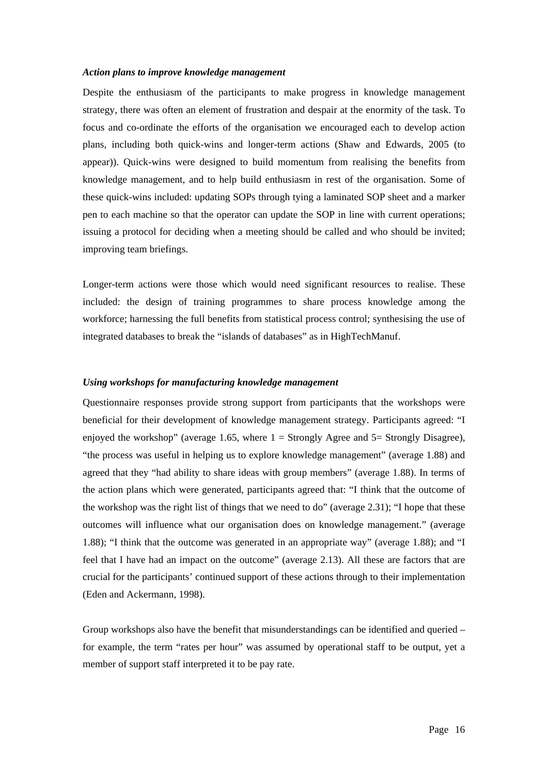#### *Action plans to improve knowledge management*

Despite the enthusiasm of the participants to make progress in knowledge management strategy, there was often an element of frustration and despair at the enormity of the task. To focus and co-ordinate the efforts of the organisation we encouraged each to develop action plans, including both quick-wins and longer-term actions (Shaw and Edwards, 2005 (to appear)). Quick-wins were designed to build momentum from realising the benefits from knowledge management, and to help build enthusiasm in rest of the organisation. Some of these quick-wins included: updating SOPs through tying a laminated SOP sheet and a marker pen to each machine so that the operator can update the SOP in line with current operations; issuing a protocol for deciding when a meeting should be called and who should be invited; improving team briefings.

Longer-term actions were those which would need significant resources to realise. These included: the design of training programmes to share process knowledge among the workforce; harnessing the full benefits from statistical process control; synthesising the use of integrated databases to break the "islands of databases" as in HighTechManuf.

#### *Using workshops for manufacturing knowledge management*

Questionnaire responses provide strong support from participants that the workshops were beneficial for their development of knowledge management strategy. Participants agreed: "I enjoyed the workshop" (average 1.65, where  $1 =$  Strongly Agree and  $5 =$  Strongly Disagree), "the process was useful in helping us to explore knowledge management" (average 1.88) and agreed that they "had ability to share ideas with group members" (average 1.88). In terms of the action plans which were generated, participants agreed that: "I think that the outcome of the workshop was the right list of things that we need to do" (average 2.31); "I hope that these outcomes will influence what our organisation does on knowledge management." (average 1.88); "I think that the outcome was generated in an appropriate way" (average 1.88); and "I feel that I have had an impact on the outcome" (average 2.13). All these are factors that are crucial for the participants' continued support of these actions through to their implementation (Eden and Ackermann, 1998).

Group workshops also have the benefit that misunderstandings can be identified and queried – for example, the term "rates per hour" was assumed by operational staff to be output, yet a member of support staff interpreted it to be pay rate.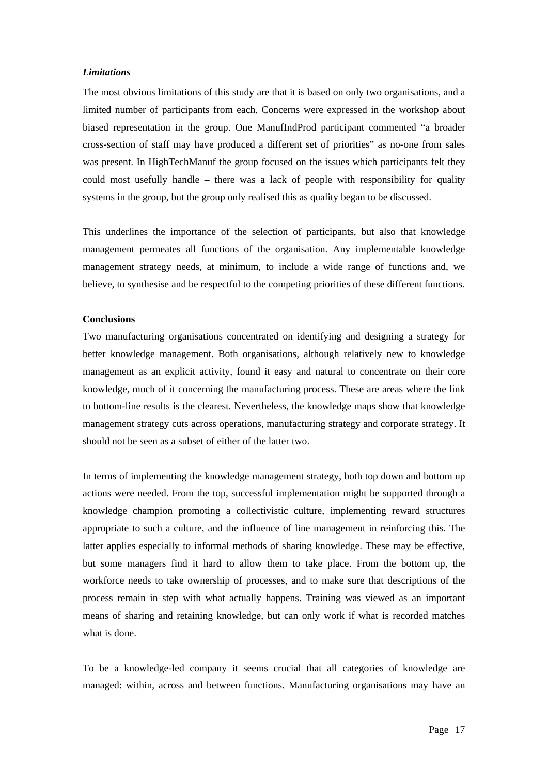#### *Limitations*

The most obvious limitations of this study are that it is based on only two organisations, and a limited number of participants from each. Concerns were expressed in the workshop about biased representation in the group. One ManufIndProd participant commented "a broader cross-section of staff may have produced a different set of priorities" as no-one from sales was present. In HighTechManuf the group focused on the issues which participants felt they could most usefully handle – there was a lack of people with responsibility for quality systems in the group, but the group only realised this as quality began to be discussed.

This underlines the importance of the selection of participants, but also that knowledge management permeates all functions of the organisation. Any implementable knowledge management strategy needs, at minimum, to include a wide range of functions and, we believe, to synthesise and be respectful to the competing priorities of these different functions.

## **Conclusions**

Two manufacturing organisations concentrated on identifying and designing a strategy for better knowledge management. Both organisations, although relatively new to knowledge management as an explicit activity, found it easy and natural to concentrate on their core knowledge, much of it concerning the manufacturing process. These are areas where the link to bottom-line results is the clearest. Nevertheless, the knowledge maps show that knowledge management strategy cuts across operations, manufacturing strategy and corporate strategy. It should not be seen as a subset of either of the latter two.

In terms of implementing the knowledge management strategy, both top down and bottom up actions were needed. From the top, successful implementation might be supported through a knowledge champion promoting a collectivistic culture, implementing reward structures appropriate to such a culture, and the influence of line management in reinforcing this. The latter applies especially to informal methods of sharing knowledge. These may be effective, but some managers find it hard to allow them to take place. From the bottom up, the workforce needs to take ownership of processes, and to make sure that descriptions of the process remain in step with what actually happens. Training was viewed as an important means of sharing and retaining knowledge, but can only work if what is recorded matches what is done.

To be a knowledge-led company it seems crucial that all categories of knowledge are managed: within, across and between functions. Manufacturing organisations may have an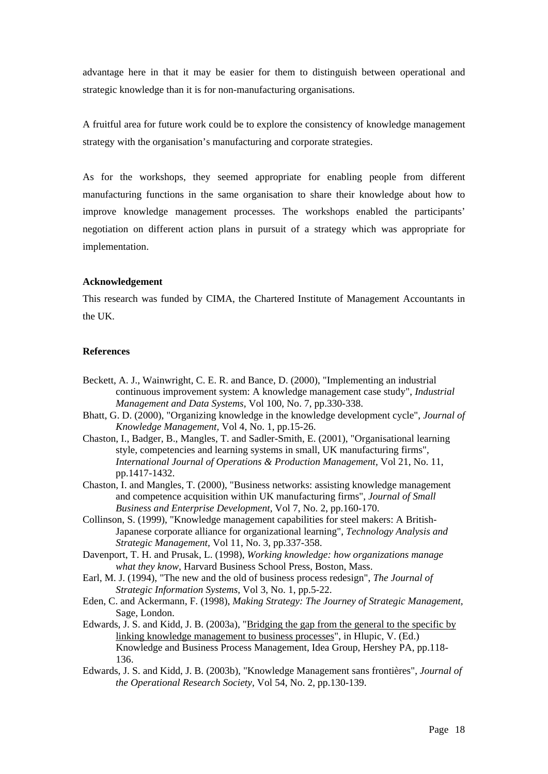advantage here in that it may be easier for them to distinguish between operational and strategic knowledge than it is for non-manufacturing organisations.

A fruitful area for future work could be to explore the consistency of knowledge management strategy with the organisation's manufacturing and corporate strategies.

As for the workshops, they seemed appropriate for enabling people from different manufacturing functions in the same organisation to share their knowledge about how to improve knowledge management processes. The workshops enabled the participants' negotiation on different action plans in pursuit of a strategy which was appropriate for implementation.

#### **Acknowledgement**

This research was funded by CIMA, the Chartered Institute of Management Accountants in the UK.

## **References**

- Beckett, A. J., Wainwright, C. E. R. and Bance, D. (2000), "Implementing an industrial continuous improvement system: A knowledge management case study", *Industrial Management and Data Systems,* Vol 100, No. 7, pp.330-338.
- Bhatt, G. D. (2000), "Organizing knowledge in the knowledge development cycle", *Journal of Knowledge Management,* Vol 4, No. 1, pp.15-26.
- Chaston, I., Badger, B., Mangles, T. and Sadler-Smith, E. (2001), "Organisational learning style, competencies and learning systems in small, UK manufacturing firms", *International Journal of Operations & Production Management,* Vol 21, No. 11, pp.1417-1432.
- Chaston, I. and Mangles, T. (2000), "Business networks: assisting knowledge management and competence acquisition within UK manufacturing firms", *Journal of Small Business and Enterprise Development,* Vol 7, No. 2, pp.160-170.
- Collinson, S. (1999), "Knowledge management capabilities for steel makers: A British-Japanese corporate alliance for organizational learning", *Technology Analysis and Strategic Management,* Vol 11, No. 3, pp.337-358.
- Davenport, T. H. and Prusak, L. (1998), *Working knowledge: how organizations manage what they know,* Harvard Business School Press, Boston, Mass.
- Earl, M. J. (1994), "The new and the old of business process redesign", *The Journal of Strategic Information Systems,* Vol 3, No. 1, pp.5-22.
- Eden, C. and Ackermann, F. (1998), *Making Strategy: The Journey of Strategic Management,*  Sage, London.
- Edwards, J. S. and Kidd, J. B. (2003a), "Bridging the gap from the general to the specific by linking knowledge management to business processes", in Hlupic, V. (Ed.) Knowledge and Business Process Management, Idea Group, Hershey PA, pp.118- 136.
- Edwards, J. S. and Kidd, J. B. (2003b), "Knowledge Management sans frontières", *Journal of the Operational Research Society,* Vol 54, No. 2, pp.130-139.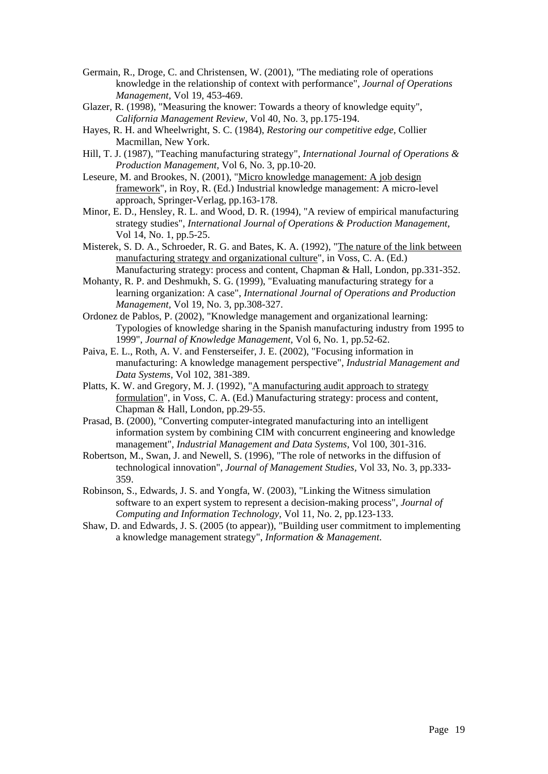- Germain, R., Droge, C. and Christensen, W. (2001), "The mediating role of operations knowledge in the relationship of context with performance", *Journal of Operations Management,* Vol 19, 453-469.
- Glazer, R. (1998), "Measuring the knower: Towards a theory of knowledge equity", *California Management Review,* Vol 40, No. 3, pp.175-194.
- Hayes, R. H. and Wheelwright, S. C. (1984), *Restoring our competitive edge,* Collier Macmillan, New York.
- Hill, T. J. (1987), "Teaching manufacturing strategy", *International Journal of Operations & Production Management,* Vol 6, No. 3, pp.10-20.
- Leseure, M. and Brookes, N. (2001), "Micro knowledge management: A job design framework", in Roy, R. (Ed.) Industrial knowledge management: A micro-level approach, Springer-Verlag, pp.163-178.
- Minor, E. D., Hensley, R. L. and Wood, D. R. (1994), "A review of empirical manufacturing strategy studies", *International Journal of Operations & Production Management,* Vol 14, No. 1, pp.5-25.
- Misterek, S. D. A., Schroeder, R. G. and Bates, K. A. (1992), "The nature of the link between manufacturing strategy and organizational culture", in Voss, C. A. (Ed.) Manufacturing strategy: process and content, Chapman & Hall, London, pp.331-352.
- Mohanty, R. P. and Deshmukh, S. G. (1999), "Evaluating manufacturing strategy for a learning organization: A case", *International Journal of Operations and Production Management,* Vol 19, No. 3, pp.308-327.
- Ordonez de Pablos, P. (2002), "Knowledge management and organizational learning: Typologies of knowledge sharing in the Spanish manufacturing industry from 1995 to 1999", *Journal of Knowledge Management,* Vol 6, No. 1, pp.52-62.
- Paiva, E. L., Roth, A. V. and Fensterseifer, J. E. (2002), "Focusing information in manufacturing: A knowledge management perspective", *Industrial Management and Data Systems,* Vol 102, 381-389.
- Platts, K. W. and Gregory, M. J. (1992), "A manufacturing audit approach to strategy formulation", in Voss, C. A. (Ed.) Manufacturing strategy: process and content, Chapman & Hall, London, pp.29-55.
- Prasad, B. (2000), "Converting computer-integrated manufacturing into an intelligent information system by combining CIM with concurrent engineering and knowledge management", *Industrial Management and Data Systems,* Vol 100, 301-316.
- Robertson, M., Swan, J. and Newell, S. (1996), "The role of networks in the diffusion of technological innovation", *Journal of Management Studies,* Vol 33, No. 3, pp.333- 359.
- Robinson, S., Edwards, J. S. and Yongfa, W. (2003), "Linking the Witness simulation software to an expert system to represent a decision-making process", *Journal of Computing and Information Technology,* Vol 11, No. 2, pp.123-133.
- Shaw, D. and Edwards, J. S. (2005 (to appear)), "Building user commitment to implementing a knowledge management strategy", *Information & Management*.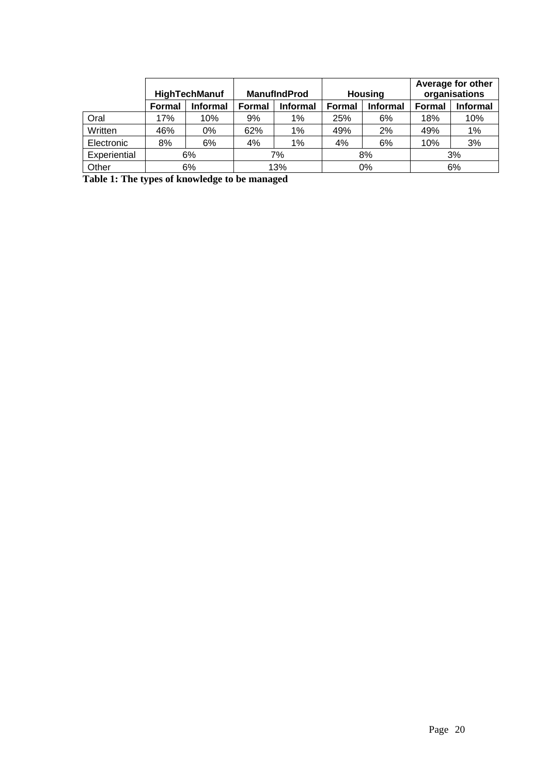|              | HighTechManuf |                 | <b>ManufIndProd</b> |                 | <b>Housing</b> |                 | Average for other<br>organisations |                 |
|--------------|---------------|-----------------|---------------------|-----------------|----------------|-----------------|------------------------------------|-----------------|
|              | <b>Formal</b> | <b>Informal</b> | <b>Formal</b>       | <b>Informal</b> | <b>Formal</b>  | <b>Informal</b> | <b>Formal</b>                      | <b>Informal</b> |
| Oral         | 17%           | 10%             | 9%                  | 1%              | 25%            | 6%              | 18%                                | 10%             |
| Written      | 46%           | 0%              | 62%                 | 1%              | 49%            | 2%              | 49%                                | 1%              |
| Electronic   | 8%            | 6%              | 4%                  | 1%              | 4%             | 6%              | 10%                                | 3%              |
| Experiential | 6%            |                 | 7%                  |                 | 8%             |                 | 3%                                 |                 |
| Other        | 6%            |                 | 13%                 |                 | 0%             |                 | 6%                                 |                 |

**Table 1: The types of knowledge to be managed**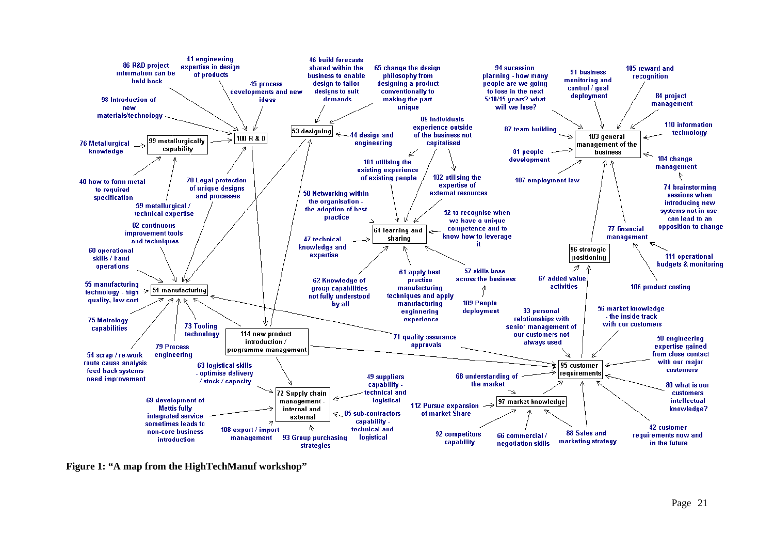

**Figure 1: "A map from the HighTechManuf workshop"**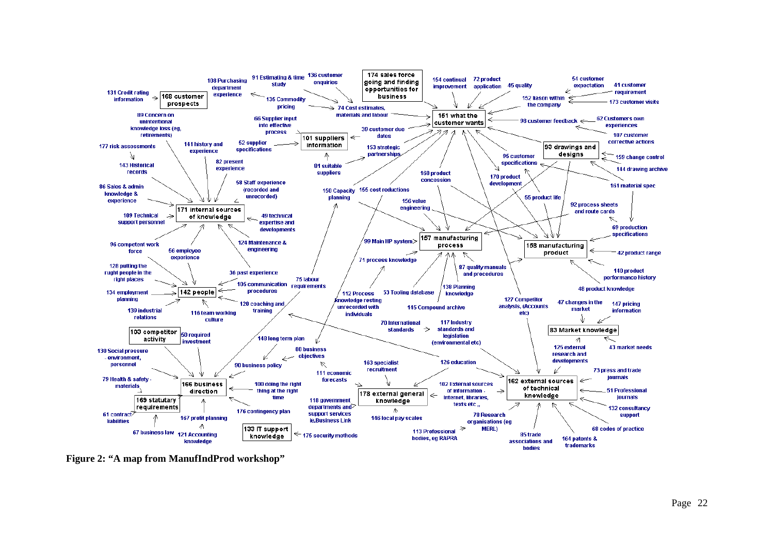

**Figure 2: "A map from ManufIndProd workshop"**